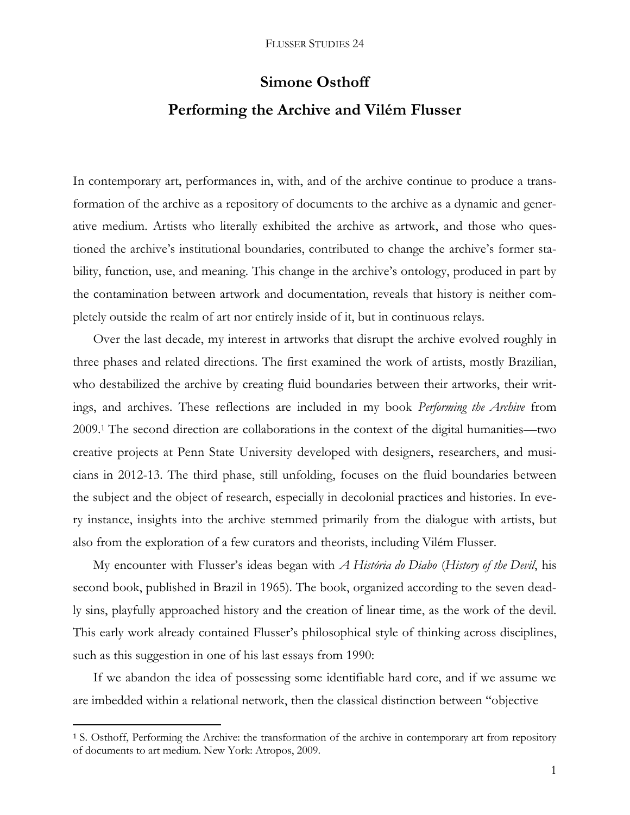# **Simone Osthoff**

# **Performing the Archive and Vilém Flusser**

In contemporary art, performances in, with, and of the archive continue to produce a transformation of the archive as a repository of documents to the archive as a dynamic and generative medium. Artists who literally exhibited the archive as artwork, and those who questioned the archive's institutional boundaries, contributed to change the archive's former stability, function, use, and meaning. This change in the archive's ontology, produced in part by the contamination between artwork and documentation, reveals that history is neither completely outside the realm of art nor entirely inside of it, but in continuous relays.

Over the last decade, my interest in artworks that disrupt the archive evolved roughly in three phases and related directions. The first examined the work of artists, mostly Brazilian, who destabilized the archive by creating fluid boundaries between their artworks, their writings, and archives. These reflections are included in my book *Performing the Archive* from 2009*.* <sup>1</sup> The second direction are collaborations in the context of the digital humanities—two creative projects at Penn State University developed with designers, researchers, and musicians in 2012-13. The third phase, still unfolding, focuses on the fluid boundaries between the subject and the object of research, especially in decolonial practices and histories. In every instance, insights into the archive stemmed primarily from the dialogue with artists, but also from the exploration of a few curators and theorists, including Vilém Flusser.

My encounter with Flusser's ideas began with *A História do Diabo* (*History of the Devil*, his second book, published in Brazil in 1965). The book, organized according to the seven deadly sins, playfully approached history and the creation of linear time, as the work of the devil. This early work already contained Flusser's philosophical style of thinking across disciplines, such as this suggestion in one of his last essays from 1990:

If we abandon the idea of possessing some identifiable hard core, and if we assume we are imbedded within a relational network, then the classical distinction between "objective

 $\overline{\phantom{a}}$ 

<sup>1</sup> S. Osthoff, Performing the Archive: the transformation of the archive in contemporary art from repository of documents to art medium. New York: Atropos, 2009.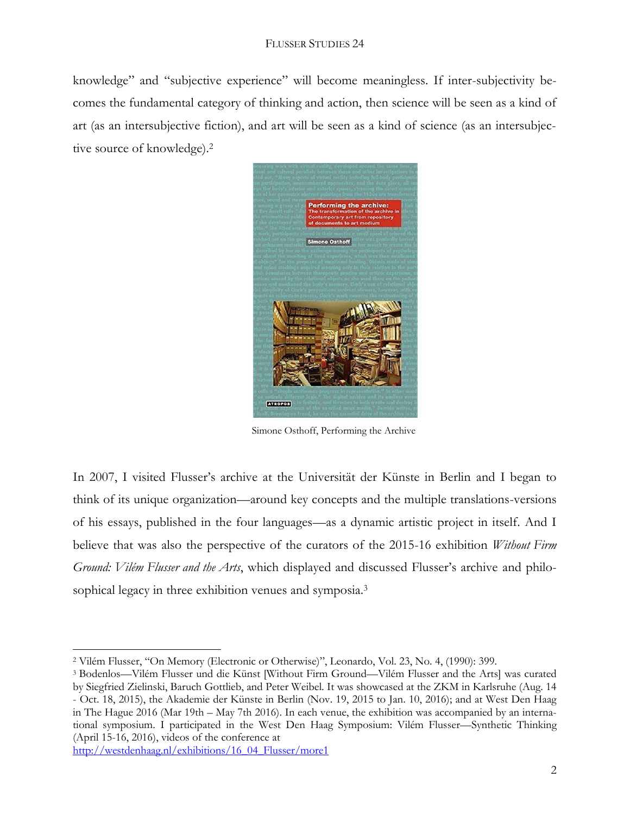knowledge" and "subjective experience" will become meaningless. If inter-subjectivity becomes the fundamental category of thinking and action, then science will be seen as a kind of art (as an intersubjective fiction), and art will be seen as a kind of science (as an intersubjective source of knowledge).<sup>2</sup>



Simone Osthoff, Performing the Archive

In 2007, I visited Flusser's archive at the Universität der Künste in Berlin and I began to think of its unique organization—around key concepts and the multiple translations-versions of his essays, published in the four languages—as a dynamic artistic project in itself. And I believe that was also the perspective of the curators of the 2015-16 exhibition *Without Firm Ground: Vilém Flusser and the Arts*, which displayed and discussed Flusser's archive and philosophical legacy in three exhibition venues and symposia.<sup>3</sup>

[http://westdenhaag.nl/exhibitions/16\\_04\\_Flusser/more1](http://westdenhaag.nl/exhibitions/16_04_Flusser/more1)

l

<sup>2</sup> Vilém Flusser, "On Memory (Electronic or Otherwise)", Leonardo, Vol. 23, No. 4, (1990): 399.

<sup>3</sup> Bodenlos—Vilém Flusser und die Künst [Without Firm Ground—Vilém Flusser and the Arts] was curated by Siegfried Zielinski, Baruch Gottlieb, and Peter Weibel. It was showcased at the ZKM in Karlsruhe (Aug. 14 - Oct. 18, 2015), the Akademie der Künste in Berlin (Nov. 19, 2015 to Jan. 10, 2016); and at West Den Haag in The Hague 2016 (Mar 19th – May 7th 2016). In each venue, the exhibition was accompanied by an international symposium. I participated in the West Den Haag Symposium: Vilém Flusser—Synthetic Thinking (April 15-16, 2016), videos of the conference at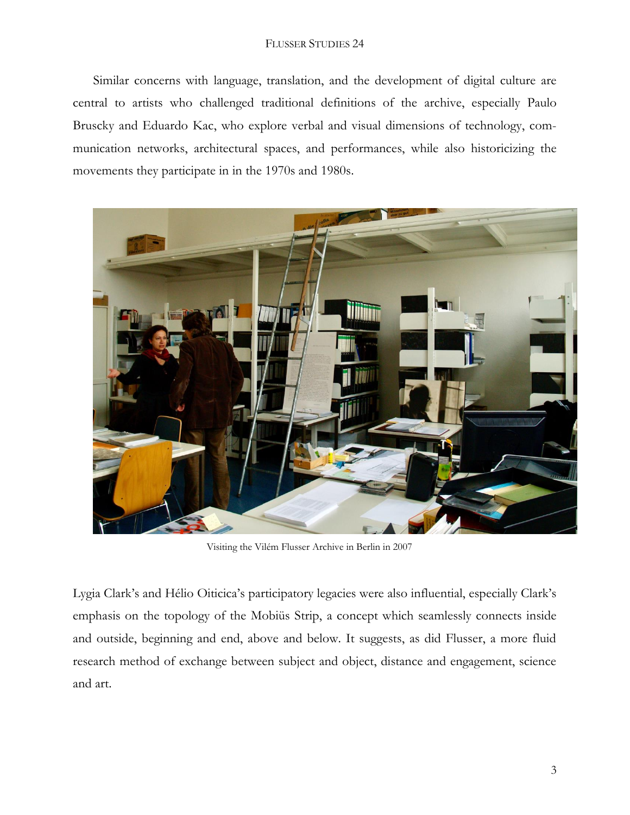#### FLUSSER STUDIES 24

Similar concerns with language, translation, and the development of digital culture are central to artists who challenged traditional definitions of the archive, especially Paulo Bruscky and Eduardo Kac, who explore verbal and visual dimensions of technology, communication networks, architectural spaces, and performances, while also historicizing the movements they participate in in the 1970s and 1980s.



Visiting the Vilém Flusser Archive in Berlin in 2007

Lygia Clark's and Hélio Oiticica's participatory legacies were also influential, especially Clark's emphasis on the topology of the Mobiüs Strip, a concept which seamlessly connects inside and outside, beginning and end, above and below. It suggests, as did Flusser, a more fluid research method of exchange between subject and object, distance and engagement, science and art.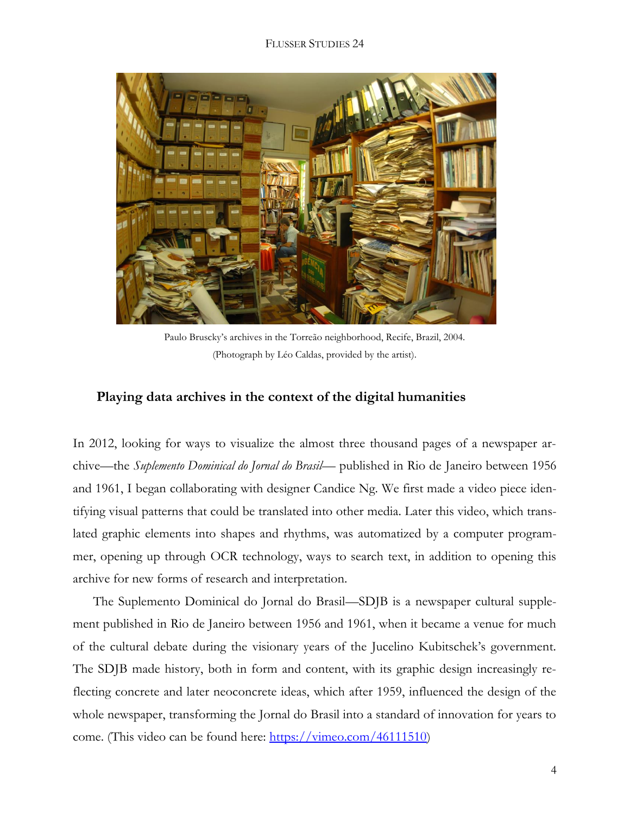#### FLUSSER STUDIES 24



Paulo Bruscky's archives in the Torreão neighborhood, Recife, Brazil, 2004. (Photograph by Léo Caldas, provided by the artist).

### **Playing data archives in the context of the digital humanities**

In 2012, looking for ways to visualize the almost three thousand pages of a newspaper archive—the *Suplemento Dominical do Jornal do Brasil*— published in Rio de Janeiro between 1956 and 1961, I began collaborating with designer Candice Ng. We first made a video piece identifying visual patterns that could be translated into other media. Later this video, which translated graphic elements into shapes and rhythms, was automatized by a computer programmer, opening up through OCR technology, ways to search text, in addition to opening this archive for new forms of research and interpretation.

The Suplemento Dominical do Jornal do Brasil—SDJB is a newspaper cultural supplement published in Rio de Janeiro between 1956 and 1961, when it became a venue for much of the cultural debate during the visionary years of the Jucelino Kubitschek's government. The SDJB made history, both in form and content, with its graphic design increasingly reflecting concrete and later neoconcrete ideas, which after 1959, influenced the design of the whole newspaper, transforming the Jornal do Brasil into a standard of innovation for years to come. (This video can be found here: [https://vimeo.com/46111510\)](https://vimeo.com/46111510)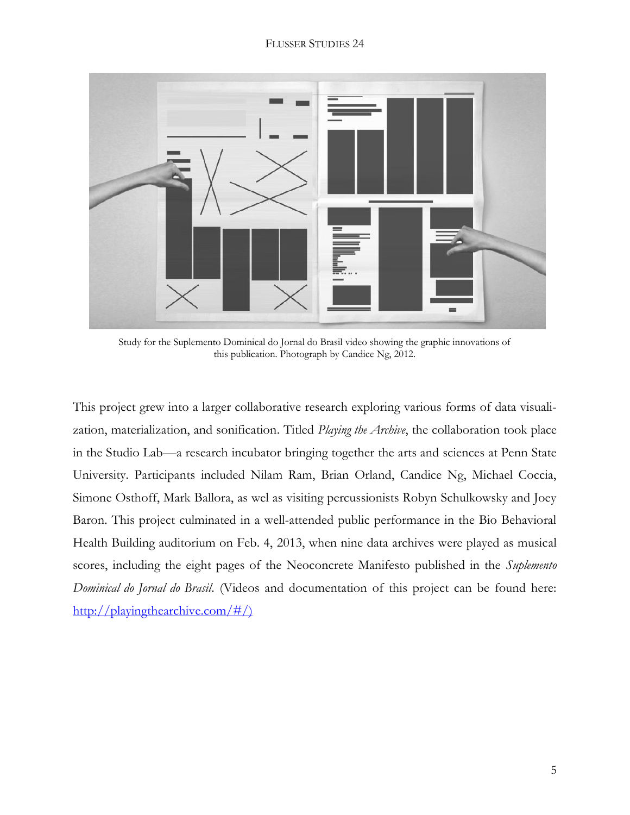

Study for the Suplemento Dominical do Jornal do Brasil video showing the graphic innovations of this publication. Photograph by Candice Ng, 2012.

This project grew into a larger collaborative research exploring various forms of data visualization, materialization, and sonification. Titled *Playing the Archive*, the collaboration took place in the Studio Lab—a research incubator bringing together the arts and sciences at Penn State University. Participants included Nilam Ram, Brian Orland, Candice Ng, Michael Coccia, Simone Osthoff, Mark Ballora, as wel as visiting percussionists Robyn Schulkowsky and Joey Baron. This project culminated in a well-attended public performance in the Bio Behavioral Health Building auditorium on Feb. 4, 2013, when nine data archives were played as musical scores, including the eight pages of the Neoconcrete Manifesto published in the *Suplemento Dominical do Jornal do Brasil*. (Videos and documentation of this project can be found here: [http://playingthearchive.com/#/\)](http://playingthearchive.com/#/)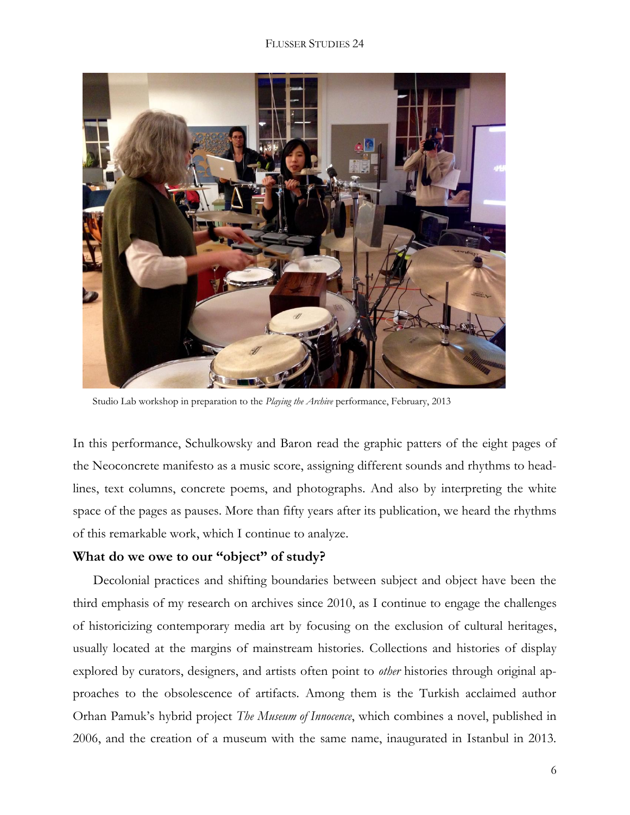#### FLUSSER STUDIES 24



Studio Lab workshop in preparation to the *Playing the Archive* performance, February, 2013

In this performance, Schulkowsky and Baron read the graphic patters of the eight pages of the Neoconcrete manifesto as a music score, assigning different sounds and rhythms to headlines, text columns, concrete poems, and photographs. And also by interpreting the white space of the pages as pauses. More than fifty years after its publication, we heard the rhythms of this remarkable work, which I continue to analyze.

### **What do we owe to our "object" of study?**

Decolonial practices and shifting boundaries between subject and object have been the third emphasis of my research on archives since 2010, as I continue to engage the challenges of historicizing contemporary media art by focusing on the exclusion of cultural heritages, usually located at the margins of mainstream histories. Collections and histories of display explored by curators, designers, and artists often point to *other* histories through original approaches to the obsolescence of artifacts. Among them is the Turkish acclaimed author Orhan Pamuk's hybrid project *The Museum of Innocence*, which combines a novel, published in 2006, and the creation of a museum with the same name, inaugurated in Istanbul in 2013.